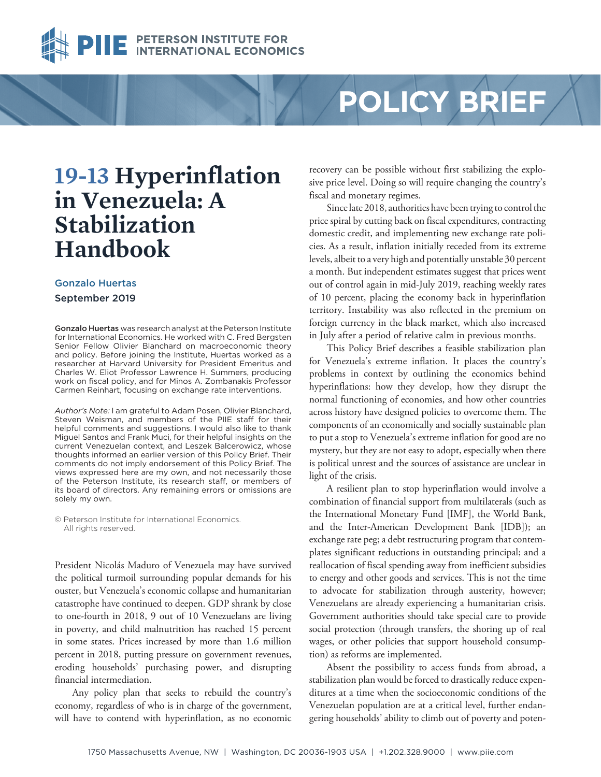

# **POLICY BRIEF**

# **19-13 Hyperinflation in Venezuela: A Stabilization Handbook**

# [Gonzalo Huertas](https://www.piie.com/experts/former-research-staff/gonzalo-huertas)

September 2019

Gonzalo Huertas was research analyst at the Peterson Institute for International Economics. He worked with C. Fred Bergsten Senior Fellow Olivier Blanchard on macroeconomic theory and policy. Before joining the Institute, Huertas worked as a researcher at Harvard University for President Emeritus and Charles W. Eliot Professor Lawrence H. Summers, producing work on fiscal policy, and for Minos A. Zombanakis Professor Carmen Reinhart, focusing on exchange rate interventions.

*Author's Note:* I am grateful to Adam Posen, Olivier Blanchard, Steven Weisman, and members of the PIIE staff for their helpful comments and suggestions. I would also like to thank Miguel Santos and Frank Muci, for their helpful insights on the current Venezuelan context, and Leszek Balcerowicz, whose thoughts informed an earlier version of this Policy Brief. Their comments do not imply endorsement of this Policy Brief. The views expressed here are my own, and not necessarily those of the Peterson Institute, its research staff, or members of its board of directors. Any remaining errors or omissions are solely my own.

© Peterson Institute for International Economics. All rights reserved.

President Nicolás Maduro of Venezuela may have survived the political turmoil surrounding popular demands for his ouster, but Venezuela's economic collapse and humanitarian catastrophe have continued to deepen. GDP shrank by close to one-fourth in 2018, 9 out of 10 Venezuelans are living in poverty, and child malnutrition has reached 15 percent in some states. Prices increased by more than 1.6 million percent in 2018, putting pressure on government revenues, eroding households' purchasing power, and disrupting financial intermediation.

Any policy plan that seeks to rebuild the country's economy, regardless of who is in charge of the government, will have to contend with hyperinflation, as no economic

recovery can be possible without first stabilizing the explosive price level. Doing so will require changing the country's fiscal and monetary regimes.

Since late 2018, authorities have been trying to control the price spiral by cutting back on fiscal expenditures, contracting domestic credit, and implementing new exchange rate policies. As a result, inflation initially receded from its extreme levels, albeit to a very high and potentially unstable 30 percent a month. But independent estimates suggest that prices went out of control again in mid-July 2019, reaching weekly rates of 10 percent, placing the economy back in hyperinflation territory. Instability was also reflected in the premium on foreign currency in the black market, which also increased in July after a period of relative calm in previous months.

This Policy Brief describes a feasible stabilization plan for Venezuela's extreme inflation. It places the country's problems in context by outlining the economics behind hyperinflations: how they develop, how they disrupt the normal functioning of economies, and how other countries across history have designed policies to overcome them. The components of an economically and socially sustainable plan to put a stop to Venezuela's extreme inflation for good are no mystery, but they are not easy to adopt, especially when there is political unrest and the sources of assistance are unclear in light of the crisis.

A resilient plan to stop hyperinflation would involve a combination of financial support from multilaterals (such as the International Monetary Fund [IMF], the World Bank, and the Inter-American Development Bank [IDB]); an exchange rate peg; a debt restructuring program that contemplates significant reductions in outstanding principal; and a reallocation of fiscal spending away from inefficient subsidies to energy and other goods and services. This is not the time to advocate for stabilization through austerity, however; Venezuelans are already experiencing a humanitarian crisis. Government authorities should take special care to provide social protection (through transfers, the shoring up of real wages, or other policies that support household consumption) as reforms are implemented.

Absent the possibility to access funds from abroad, a stabilization plan would be forced to drastically reduce expenditures at a time when the socioeconomic conditions of the Venezuelan population are at a critical level, further endangering households' ability to climb out of poverty and poten-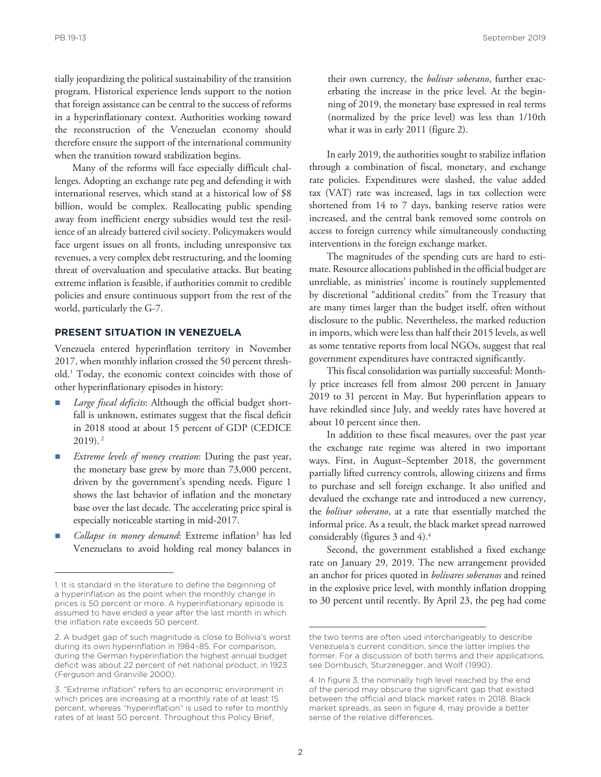tially jeopardizing the political sustainability of the transition program. Historical experience lends support to the notion that foreign assistance can be central to the success of reforms in a hyperinflationary context. Authorities working toward the reconstruction of the Venezuelan economy should therefore ensure the support of the international community when the transition toward stabilization begins.

Many of the reforms will face especially difficult challenges. Adopting an exchange rate peg and defending it with international reserves, which stand at a historical low of \$8 billion, would be complex. Reallocating public spending away from inefficient energy subsidies would test the resilience of an already battered civil society. Policymakers would face urgent issues on all fronts, including unresponsive tax revenues, a very complex debt restructuring, and the looming threat of overvaluation and speculative attacks. But beating extreme inflation is feasible, if authorities commit to credible policies and ensure continuous support from the rest of the world, particularly the G-7.

# **PRESENT SITUATION IN VENEZUELA**

Venezuela entered hyperinflation territory in November 2017, when monthly inflation crossed the 50 percent threshold.1 Today, the economic context coincides with those of other hyperinflationary episodes in history:

- Large fiscal deficits: Although the official budget shortfall is unknown, estimates suggest that the fiscal deficit in 2018 stood at about 15 percent of GDP (CEDICE  $2019$ ). <sup>2</sup>
- *Extreme levels of money creation*: During the past year, the monetary base grew by more than 73,000 percent, driven by the government's spending needs. Figure 1 shows the last behavior of inflation and the monetary base over the last decade. The accelerating price spiral is especially noticeable starting in mid-2017.
- *Collapse in money demand*: Extreme inflation<sup>3</sup> has led Venezuelans to avoid holding real money balances in

their own currency, the *bolívar soberano*, further exacerbating the increase in the price level. At the beginning of 2019, the monetary base expressed in real terms (normalized by the price level) was less than 1/10th what it was in early 2011 (figure 2).

In early 2019, the authorities sought to stabilize inflation through a combination of fiscal, monetary, and exchange rate policies. Expenditures were slashed, the value added tax (VAT) rate was increased, lags in tax collection were shortened from 14 to 7 days, banking reserve ratios were increased, and the central bank removed some controls on access to foreign currency while simultaneously conducting interventions in the foreign exchange market.

The magnitudes of the spending cuts are hard to estimate. Resource allocations published in the official budget are unreliable, as ministries' income is routinely supplemented by discretional "additional credits" from the Treasury that are many times larger than the budget itself, often without disclosure to the public. Nevertheless, the marked reduction in imports, which were less than half their 2015 levels, as well as some tentative reports from local NGOs, suggest that real government expenditures have contracted significantly.

This fiscal consolidation was partially successful: Monthly price increases fell from almost 200 percent in January 2019 to 31 percent in May. But hyperinflation appears to have rekindled since July, and weekly rates have hovered at about 10 percent since then.

In addition to these fiscal measures, over the past year the exchange rate regime was altered in two important ways. First, in August–September 2018, the government partially lifted currency controls, allowing citizens and firms to purchase and sell foreign exchange. It also unified and devalued the exchange rate and introduced a new currency, the *bolívar soberano*, at a rate that essentially matched the informal price. As a result, the black market spread narrowed considerably (figures 3 and 4).4

Second, the government established a fixed exchange rate on January 29, 2019. The new arrangement provided an anchor for prices quoted in *bolívares soberanos* and reined in the explosive price level, with monthly inflation dropping to 30 percent until recently. By April 23, the peg had come

<sup>1.</sup> It is standard in the literature to define the beginning of a hyperinflation as the point when the monthly change in prices is 50 percent or more. A hyperinflationary episode is assumed to have ended a year after the last month in which the inflation rate exceeds 50 percent.

<sup>2.</sup> A budget gap of such magnitude is close to Bolivia's worst during its own hyperinflation in 1984–85. For comparison, during the German hyperinflation the highest annual budget deficit was about 22 percent of net national product, in 1923 (Ferguson and Granville 2000).

<sup>3. &</sup>quot;Extreme inflation" refers to an economic environment in which prices are increasing at a monthly rate of at least 15 percent, whereas "hyperinflation" is used to refer to monthly rates of at least 50 percent. Throughout this Policy Brief,

the two terms are often used interchangeably to describe Venezuela's current condition, since the latter implies the former. For a discussion of both terms and their applications, see Dornbusch, Sturzenegger, and Wolf (1990).

<sup>4.</sup> In figure 3, the nominally high level reached by the end of the period may obscure the significant gap that existed between the official and black market rates in 2018. Black market spreads, as seen in figure 4, may provide a better sense of the relative differences.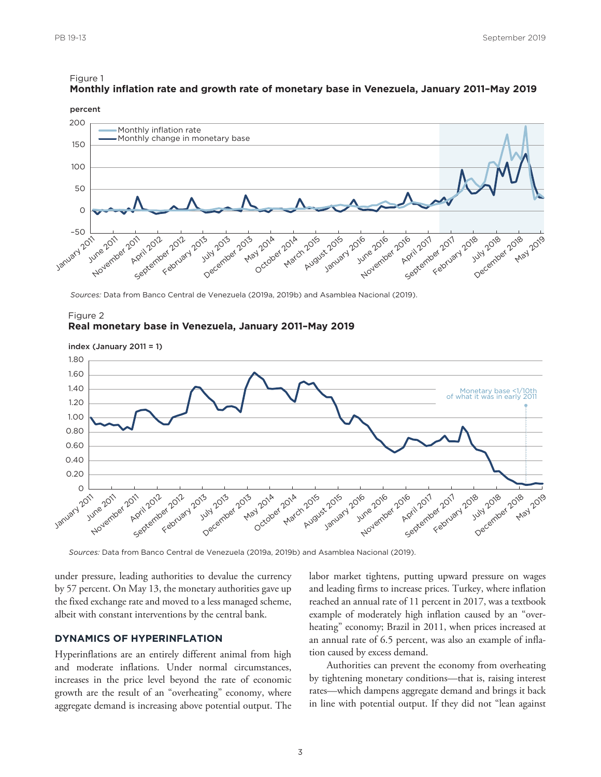

# Figure 1 **Monthly inflation rate and growth rate of monetary base in Venezuela, January 2011–May 2019**

*Sources:* Data from Banco Central de Venezuela (2019a, 2019b) and Asamblea Nacional (2019).



#### Figure 2 **Real monetary base in Venezuela, January 2011–May 2019**

*Sources:* Data from Banco Central de Venezuela (2019a, 2019b) and Asamblea Nacional (2019).

under pressure, leading authorities to devalue the currency by 57 percent. On May 13, the monetary authorities gave up the fixed exchange rate and moved to a less managed scheme, albeit with constant interventions by the central bank.

# **DYNAMICS OF HYPERINFLATION**

Hyperinflations are an entirely different animal from high and moderate inflations. Under normal circumstances, increases in the price level beyond the rate of economic growth are the result of an "overheating" economy, where aggregate demand is increasing above potential output. The labor market tightens, putting upward pressure on wages and leading firms to increase prices. Turkey, where inflation reached an annual rate of 11 percent in 2017, was a textbook example of moderately high inflation caused by an "overheating" economy; Brazil in 2011, when prices increased at an annual rate of 6.5 percent, was also an example of inflation caused by excess demand.

Authorities can prevent the economy from overheating by tightening monetary conditions—that is, raising interest rates—which dampens aggregate demand and brings it back in line with potential output. If they did not "lean against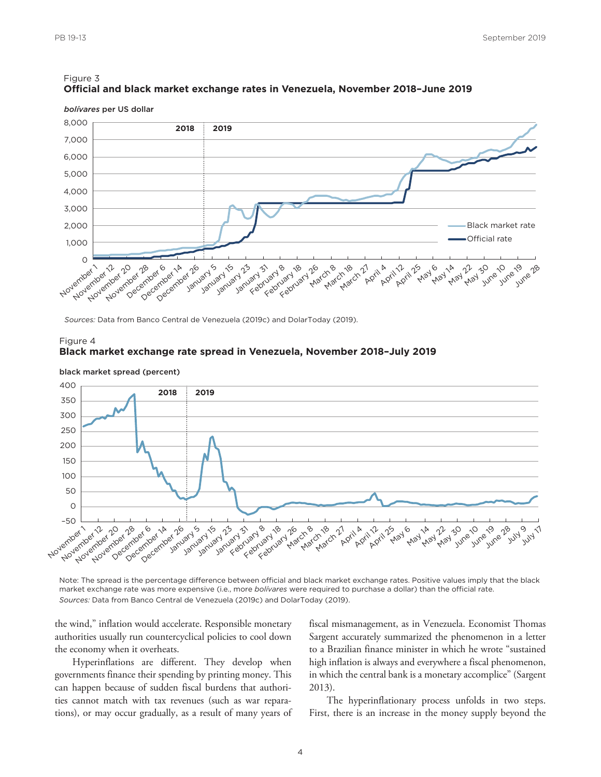

# Figure 3 **Official and black market exchange rates in Venezuela, November 2018–June 2019**

*Sources:* Data from Banco Central de Venezuela (2019c) and DolarToday (2019).

# Figure 4 **Black market exchange rate spread in Venezuela, November 2018–July 2019**



black market spread (percent)

Note: The spread is the percentage difference between official and black market exchange rates. Positive values imply that the black market exchange rate was more expensive (i.e., more *bolívares* were required to purchase a dollar) than the official rate. *Sources:* Data from Banco Central de Venezuela (2019c) and DolarToday (2019).

the wind," inflation would accelerate. Responsible monetary authorities usually run countercyclical policies to cool down the economy when it overheats.

Hyperinflations are different. They develop when governments finance their spending by printing money. This can happen because of sudden fiscal burdens that authorities cannot match with tax revenues (such as war reparations), or may occur gradually, as a result of many years of fiscal mismanagement, as in Venezuela. Economist Thomas Sargent accurately summarized the phenomenon in a letter to a Brazilian finance minister in which he wrote "sustained high inflation is always and everywhere a fiscal phenomenon, in which the central bank is a monetary accomplice" (Sargent 2013).

The hyperinflationary process unfolds in two steps. First, there is an increase in the money supply beyond the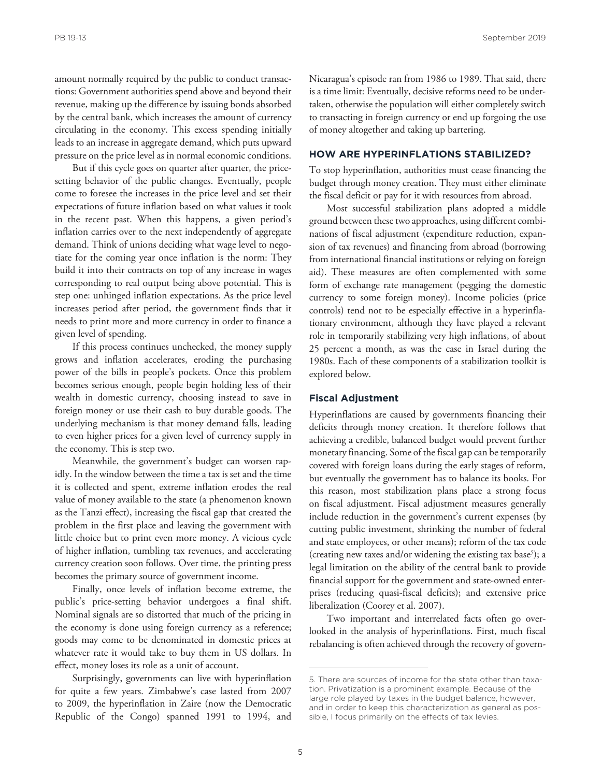PB 19-13 September 2019

amount normally required by the public to conduct transactions: Government authorities spend above and beyond their revenue, making up the difference by issuing bonds absorbed by the central bank, which increases the amount of currency circulating in the economy. This excess spending initially leads to an increase in aggregate demand, which puts upward pressure on the price level as in normal economic conditions.

But if this cycle goes on quarter after quarter, the pricesetting behavior of the public changes. Eventually, people come to foresee the increases in the price level and set their expectations of future inflation based on what values it took in the recent past. When this happens, a given period's inflation carries over to the next independently of aggregate demand. Think of unions deciding what wage level to negotiate for the coming year once inflation is the norm: They build it into their contracts on top of any increase in wages corresponding to real output being above potential. This is step one: unhinged inflation expectations. As the price level increases period after period, the government finds that it needs to print more and more currency in order to finance a given level of spending.

If this process continues unchecked, the money supply grows and inflation accelerates, eroding the purchasing power of the bills in people's pockets. Once this problem becomes serious enough, people begin holding less of their wealth in domestic currency, choosing instead to save in foreign money or use their cash to buy durable goods. The underlying mechanism is that money demand falls, leading to even higher prices for a given level of currency supply in the economy. This is step two.

Meanwhile, the government's budget can worsen rapidly. In the window between the time a tax is set and the time it is collected and spent, extreme inflation erodes the real value of money available to the state (a phenomenon known as the Tanzi effect), increasing the fiscal gap that created the problem in the first place and leaving the government with little choice but to print even more money. A vicious cycle of higher inflation, tumbling tax revenues, and accelerating currency creation soon follows. Over time, the printing press becomes the primary source of government income.

Finally, once levels of inflation become extreme, the public's price-setting behavior undergoes a final shift. Nominal signals are so distorted that much of the pricing in the economy is done using foreign currency as a reference; goods may come to be denominated in domestic prices at whatever rate it would take to buy them in US dollars. In effect, money loses its role as a unit of account.

Surprisingly, governments can live with hyperinflation for quite a few years. Zimbabwe's case lasted from 2007 to 2009, the hyperinflation in Zaire (now the Democratic Republic of the Congo) spanned 1991 to 1994, and Nicaragua's episode ran from 1986 to 1989. That said, there is a time limit: Eventually, decisive reforms need to be undertaken, otherwise the population will either completely switch to transacting in foreign currency or end up forgoing the use of money altogether and taking up bartering.

# **HOW ARE HYPERINFLATIONS STABILIZED?**

To stop hyperinflation, authorities must cease financing the budget through money creation. They must either eliminate the fiscal deficit or pay for it with resources from abroad.

Most successful stabilization plans adopted a middle ground between these two approaches, using different combinations of fiscal adjustment (expenditure reduction, expansion of tax revenues) and financing from abroad (borrowing from international financial institutions or relying on foreign aid). These measures are often complemented with some form of exchange rate management (pegging the domestic currency to some foreign money). Income policies (price controls) tend not to be especially effective in a hyperinflationary environment, although they have played a relevant role in temporarily stabilizing very high inflations, of about 25 percent a month, as was the case in Israel during the 1980s. Each of these components of a stabilization toolkit is explored below.

### **Fiscal Adjustment**

Hyperinflations are caused by governments financing their deficits through money creation. It therefore follows that achieving a credible, balanced budget would prevent further monetary financing. Some of the fiscal gap can be temporarily covered with foreign loans during the early stages of reform, but eventually the government has to balance its books. For this reason, most stabilization plans place a strong focus on fiscal adjustment. Fiscal adjustment measures generally include reduction in the government's current expenses (by cutting public investment, shrinking the number of federal and state employees, or other means); reform of the tax code (creating new taxes and/or widening the existing tax base<sup>5</sup>); a legal limitation on the ability of the central bank to provide financial support for the government and state-owned enterprises (reducing quasi-fiscal deficits); and extensive price liberalization (Coorey et al. 2007).

Two important and interrelated facts often go overlooked in the analysis of hyperinflations. First, much fiscal rebalancing is often achieved through the recovery of govern-

<sup>5.</sup> There are sources of income for the state other than taxation. Privatization is a prominent example. Because of the large role played by taxes in the budget balance, however, and in order to keep this characterization as general as possible, I focus primarily on the effects of tax levies.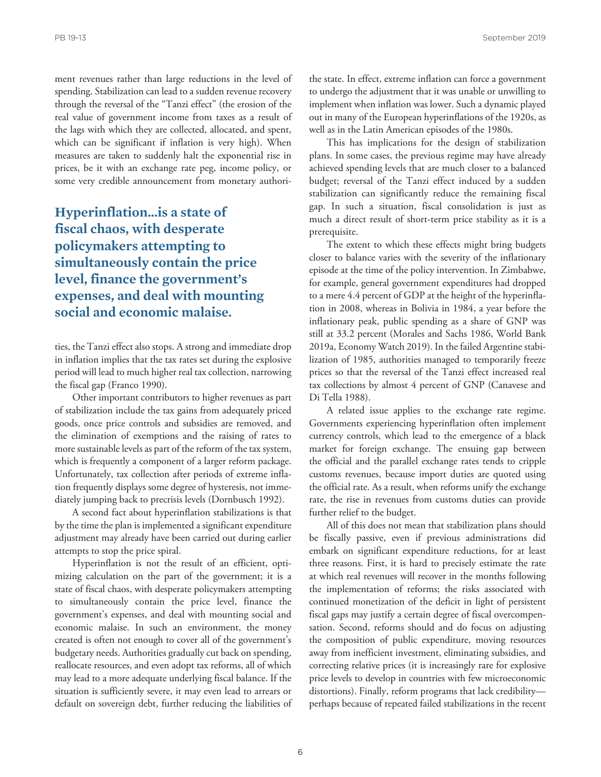ment revenues rather than large reductions in the level of spending. Stabilization can lead to a sudden revenue recovery through the reversal of the "Tanzi effect" (the erosion of the real value of government income from taxes as a result of the lags with which they are collected, allocated, and spent, which can be significant if inflation is very high). When measures are taken to suddenly halt the exponential rise in prices, be it with an exchange rate peg, income policy, or some very credible announcement from monetary authori-

**Hyperinflation...is a state of fiscal chaos, with desperate policymakers attempting to simultaneously contain the price level, finance the government's expenses, and deal with mounting social and economic malaise.**

ties, the Tanzi effect also stops. A strong and immediate drop in inflation implies that the tax rates set during the explosive period will lead to much higher real tax collection, narrowing the fiscal gap (Franco 1990).

Other important contributors to higher revenues as part of stabilization include the tax gains from adequately priced goods, once price controls and subsidies are removed, and the elimination of exemptions and the raising of rates to more sustainable levels as part of the reform of the tax system, which is frequently a component of a larger reform package. Unfortunately, tax collection after periods of extreme inflation frequently displays some degree of hysteresis, not immediately jumping back to precrisis levels (Dornbusch 1992).

A second fact about hyperinflation stabilizations is that by the time the plan is implemented a significant expenditure adjustment may already have been carried out during earlier attempts to stop the price spiral.

Hyperinflation is not the result of an efficient, optimizing calculation on the part of the government; it is a state of fiscal chaos, with desperate policymakers attempting to simultaneously contain the price level, finance the government's expenses, and deal with mounting social and economic malaise. In such an environment, the money created is often not enough to cover all of the government's budgetary needs. Authorities gradually cut back on spending, reallocate resources, and even adopt tax reforms, all of which may lead to a more adequate underlying fiscal balance. If the situation is sufficiently severe, it may even lead to arrears or default on sovereign debt, further reducing the liabilities of the state. In effect, extreme inflation can force a government to undergo the adjustment that it was unable or unwilling to implement when inflation was lower. Such a dynamic played out in many of the European hyperinflations of the 1920s, as well as in the Latin American episodes of the 1980s.

This has implications for the design of stabilization plans. In some cases, the previous regime may have already achieved spending levels that are much closer to a balanced budget; reversal of the Tanzi effect induced by a sudden stabilization can significantly reduce the remaining fiscal gap. In such a situation, fiscal consolidation is just as much a direct result of short-term price stability as it is a prerequisite.

The extent to which these effects might bring budgets closer to balance varies with the severity of the inflationary episode at the time of the policy intervention. In Zimbabwe, for example, general government expenditures had dropped to a mere 4.4 percent of GDP at the height of the hyperinflation in 2008, whereas in Bolivia in 1984, a year before the inflationary peak, public spending as a share of GNP was still at 33.2 percent (Morales and Sachs 1986, World Bank 2019a, Economy Watch 2019). In the failed Argentine stabilization of 1985, authorities managed to temporarily freeze prices so that the reversal of the Tanzi effect increased real tax collections by almost 4 percent of GNP (Canavese and Di Tella 1988).

A related issue applies to the exchange rate regime. Governments experiencing hyperinflation often implement currency controls, which lead to the emergence of a black market for foreign exchange. The ensuing gap between the official and the parallel exchange rates tends to cripple customs revenues, because import duties are quoted using the official rate. As a result, when reforms unify the exchange rate, the rise in revenues from customs duties can provide further relief to the budget.

All of this does not mean that stabilization plans should be fiscally passive, even if previous administrations did embark on significant expenditure reductions, for at least three reasons. First, it is hard to precisely estimate the rate at which real revenues will recover in the months following the implementation of reforms; the risks associated with continued monetization of the deficit in light of persistent fiscal gaps may justify a certain degree of fiscal overcompensation. Second, reforms should and do focus on adjusting the composition of public expenditure, moving resources away from inefficient investment, eliminating subsidies, and correcting relative prices (it is increasingly rare for explosive price levels to develop in countries with few microeconomic distortions). Finally, reform programs that lack credibility perhaps because of repeated failed stabilizations in the recent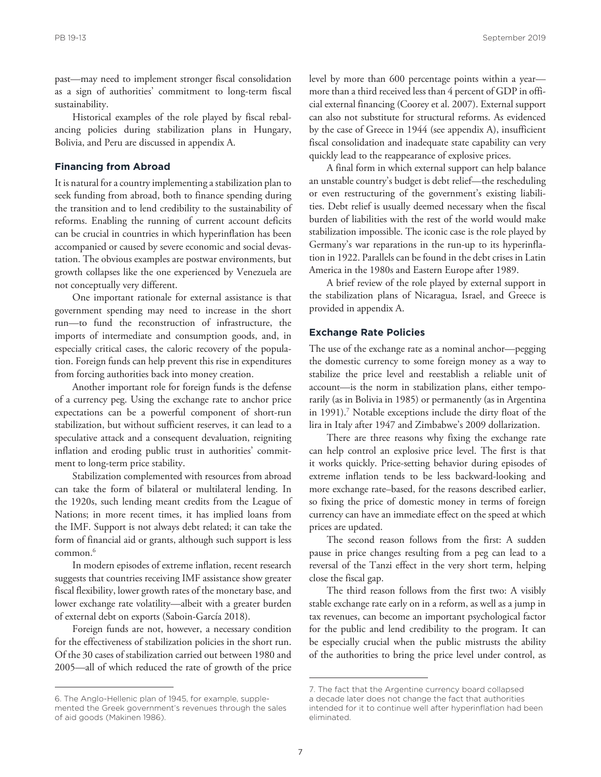past—may need to implement stronger fiscal consolidation as a sign of authorities' commitment to long-term fiscal sustainability.

Historical examples of the role played by fiscal rebalancing policies during stabilization plans in Hungary, Bolivia, and Peru are discussed in appendix A.

# **Financing from Abroad**

It is natural for a country implementing a stabilization plan to seek funding from abroad, both to finance spending during the transition and to lend credibility to the sustainability of reforms. Enabling the running of current account deficits can be crucial in countries in which hyperinflation has been accompanied or caused by severe economic and social devastation. The obvious examples are postwar environments, but growth collapses like the one experienced by Venezuela are not conceptually very different.

One important rationale for external assistance is that government spending may need to increase in the short run—to fund the reconstruction of infrastructure, the imports of intermediate and consumption goods, and, in especially critical cases, the caloric recovery of the population. Foreign funds can help prevent this rise in expenditures from forcing authorities back into money creation.

Another important role for foreign funds is the defense of a currency peg. Using the exchange rate to anchor price expectations can be a powerful component of short-run stabilization, but without sufficient reserves, it can lead to a speculative attack and a consequent devaluation, reigniting inflation and eroding public trust in authorities' commitment to long-term price stability.

Stabilization complemented with resources from abroad can take the form of bilateral or multilateral lending. In the 1920s, such lending meant credits from the League of Nations; in more recent times, it has implied loans from the IMF. Support is not always debt related; it can take the form of financial aid or grants, although such support is less common.6

In modern episodes of extreme inflation, recent research suggests that countries receiving IMF assistance show greater fiscal flexibility, lower growth rates of the monetary base, and lower exchange rate volatility—albeit with a greater burden of external debt on exports (Saboin-García 2018).

Foreign funds are not, however, a necessary condition for the effectiveness of stabilization policies in the short run. Of the 30 cases of stabilization carried out between 1980 and 2005—all of which reduced the rate of growth of the price level by more than 600 percentage points within a year more than a third received less than 4 percent of GDP in official external financing (Coorey et al. 2007). External support can also not substitute for structural reforms. As evidenced by the case of Greece in 1944 (see appendix A), insufficient fiscal consolidation and inadequate state capability can very quickly lead to the reappearance of explosive prices.

A final form in which external support can help balance an unstable country's budget is debt relief—the rescheduling or even restructuring of the government's existing liabilities. Debt relief is usually deemed necessary when the fiscal burden of liabilities with the rest of the world would make stabilization impossible. The iconic case is the role played by Germany's war reparations in the run-up to its hyperinflation in 1922. Parallels can be found in the debt crises in Latin America in the 1980s and Eastern Europe after 1989.

A brief review of the role played by external support in the stabilization plans of Nicaragua, Israel, and Greece is provided in appendix A.

# **Exchange Rate Policies**

The use of the exchange rate as a nominal anchor—pegging the domestic currency to some foreign money as a way to stabilize the price level and reestablish a reliable unit of account—is the norm in stabilization plans, either temporarily (as in Bolivia in 1985) or permanently (as in Argentina in 1991).<sup>7</sup> Notable exceptions include the dirty float of the lira in Italy after 1947 and Zimbabwe's 2009 dollarization.

There are three reasons why fixing the exchange rate can help control an explosive price level. The first is that it works quickly. Price-setting behavior during episodes of extreme inflation tends to be less backward-looking and more exchange rate–based, for the reasons described earlier, so fixing the price of domestic money in terms of foreign currency can have an immediate effect on the speed at which prices are updated.

The second reason follows from the first: A sudden pause in price changes resulting from a peg can lead to a reversal of the Tanzi effect in the very short term, helping close the fiscal gap.

The third reason follows from the first two: A visibly stable exchange rate early on in a reform, as well as a jump in tax revenues, can become an important psychological factor for the public and lend credibility to the program. It can be especially crucial when the public mistrusts the ability of the authorities to bring the price level under control, as

<sup>6.</sup> The Anglo-Hellenic plan of 1945, for example, supplemented the Greek government's revenues through the sales of aid goods (Makinen 1986).

<sup>7.</sup> The fact that the Argentine currency board collapsed a decade later does not change the fact that authorities intended for it to continue well after hyperinflation had been eliminated.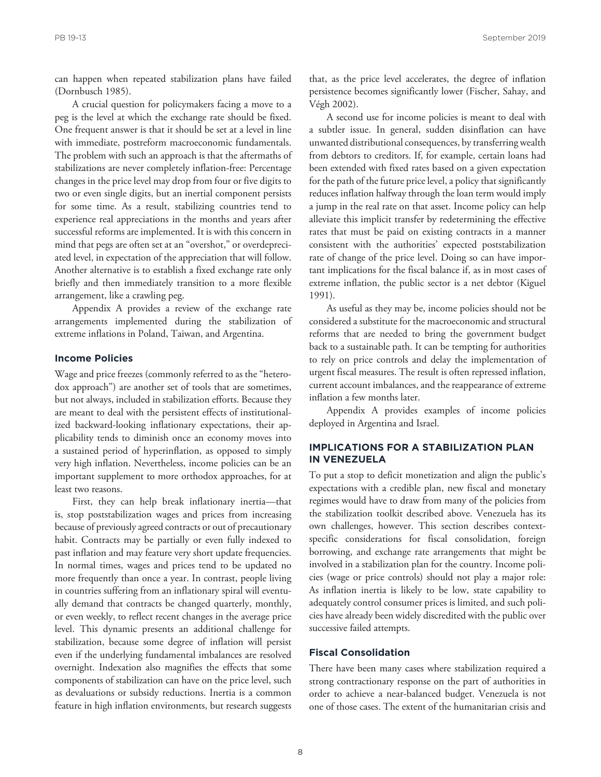can happen when repeated stabilization plans have failed (Dornbusch 1985).

A crucial question for policymakers facing a move to a peg is the level at which the exchange rate should be fixed. One frequent answer is that it should be set at a level in line with immediate, postreform macroeconomic fundamentals. The problem with such an approach is that the aftermaths of stabilizations are never completely inflation-free: Percentage changes in the price level may drop from four or five digits to two or even single digits, but an inertial component persists for some time. As a result, stabilizing countries tend to experience real appreciations in the months and years after successful reforms are implemented. It is with this concern in mind that pegs are often set at an "overshot," or overdepreciated level, in expectation of the appreciation that will follow. Another alternative is to establish a fixed exchange rate only briefly and then immediately transition to a more flexible arrangement, like a crawling peg.

Appendix A provides a review of the exchange rate arrangements implemented during the stabilization of extreme inflations in Poland, Taiwan, and Argentina.

# **Income Policies**

Wage and price freezes (commonly referred to as the "heterodox approach") are another set of tools that are sometimes, but not always, included in stabilization efforts. Because they are meant to deal with the persistent effects of institutionalized backward-looking inflationary expectations, their applicability tends to diminish once an economy moves into a sustained period of hyperinflation, as opposed to simply very high inflation. Nevertheless, income policies can be an important supplement to more orthodox approaches, for at least two reasons.

First, they can help break inflationary inertia—that is, stop poststabilization wages and prices from increasing because of previously agreed contracts or out of precautionary habit. Contracts may be partially or even fully indexed to past inflation and may feature very short update frequencies. In normal times, wages and prices tend to be updated no more frequently than once a year. In contrast, people living in countries suffering from an inflationary spiral will eventually demand that contracts be changed quarterly, monthly, or even weekly, to reflect recent changes in the average price level. This dynamic presents an additional challenge for stabilization, because some degree of inflation will persist even if the underlying fundamental imbalances are resolved overnight. Indexation also magnifies the effects that some components of stabilization can have on the price level, such as devaluations or subsidy reductions. Inertia is a common feature in high inflation environments, but research suggests

that, as the price level accelerates, the degree of inflation persistence becomes significantly lower (Fischer, Sahay, and Végh 2002).

A second use for income policies is meant to deal with a subtler issue. In general, sudden disinflation can have unwanted distributional consequences, by transferring wealth from debtors to creditors. If, for example, certain loans had been extended with fixed rates based on a given expectation for the path of the future price level, a policy that significantly reduces inflation halfway through the loan term would imply a jump in the real rate on that asset. Income policy can help alleviate this implicit transfer by redetermining the effective rates that must be paid on existing contracts in a manner consistent with the authorities' expected poststabilization rate of change of the price level. Doing so can have important implications for the fiscal balance if, as in most cases of extreme inflation, the public sector is a net debtor (Kiguel 1991).

As useful as they may be, income policies should not be considered a substitute for the macroeconomic and structural reforms that are needed to bring the government budget back to a sustainable path. It can be tempting for authorities to rely on price controls and delay the implementation of urgent fiscal measures. The result is often repressed inflation, current account imbalances, and the reappearance of extreme inflation a few months later.

Appendix A provides examples of income policies deployed in Argentina and Israel.

# **IMPLICATIONS FOR A STABILIZATION PLAN IN VENEZUELA**

To put a stop to deficit monetization and align the public's expectations with a credible plan, new fiscal and monetary regimes would have to draw from many of the policies from the stabilization toolkit described above. Venezuela has its own challenges, however. This section describes contextspecific considerations for fiscal consolidation, foreign borrowing, and exchange rate arrangements that might be involved in a stabilization plan for the country. Income policies (wage or price controls) should not play a major role: As inflation inertia is likely to be low, state capability to adequately control consumer prices is limited, and such policies have already been widely discredited with the public over successive failed attempts.

# **Fiscal Consolidation**

There have been many cases where stabilization required a strong contractionary response on the part of authorities in order to achieve a near-balanced budget. Venezuela is not one of those cases. The extent of the humanitarian crisis and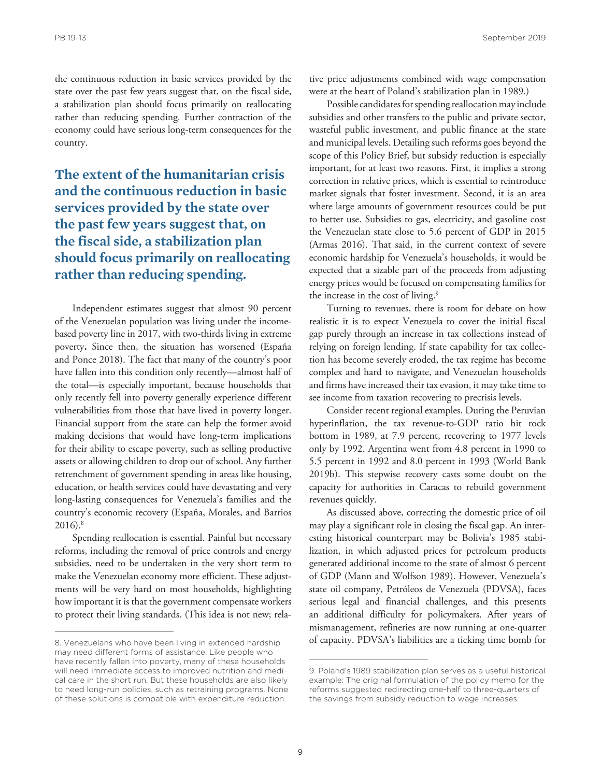the continuous reduction in basic services provided by the state over the past few years suggest that, on the fiscal side, a stabilization plan should focus primarily on reallocating rather than reducing spending. Further contraction of the economy could have serious long-term consequences for the country.

# **The extent of the humanitarian crisis and the continuous reduction in basic services provided by the state over the past few years suggest that, on the fiscal side, a stabilization plan should focus primarily on reallocating rather than reducing spending.**

Independent estimates suggest that almost 90 percent of the Venezuelan population was living under the incomebased poverty line in 2017, with two-thirds living in extreme poverty**.** Since then, the situation has worsened (España and Ponce 2018). The fact that many of the country's poor have fallen into this condition only recently—almost half of the total—is especially important, because households that only recently fell into poverty generally experience different vulnerabilities from those that have lived in poverty longer. Financial support from the state can help the former avoid making decisions that would have long-term implications for their ability to escape poverty, such as selling productive assets or allowing children to drop out of school. Any further retrenchment of government spending in areas like housing, education, or health services could have devastating and very long-lasting consequences for Venezuela's families and the country's economic recovery (España, Morales, and Barrios 2016).8

Spending reallocation is essential. Painful but necessary reforms, including the removal of price controls and energy subsidies, need to be undertaken in the very short term to make the Venezuelan economy more efficient. These adjustments will be very hard on most households, highlighting how important it is that the government compensate workers to protect their living standards. (This idea is not new; relative price adjustments combined with wage compensation were at the heart of Poland's stabilization plan in 1989.)

Possible candidates for spending reallocation may include subsidies and other transfers to the public and private sector, wasteful public investment, and public finance at the state and municipal levels. Detailing such reforms goes beyond the scope of this Policy Brief, but subsidy reduction is especially important, for at least two reasons. First, it implies a strong correction in relative prices, which is essential to reintroduce market signals that foster investment. Second, it is an area where large amounts of government resources could be put to better use. Subsidies to gas, electricity, and gasoline cost the Venezuelan state close to 5.6 percent of GDP in 2015 (Armas 2016). That said, in the current context of severe economic hardship for Venezuela's households, it would be expected that a sizable part of the proceeds from adjusting energy prices would be focused on compensating families for the increase in the cost of living.<sup>9</sup>

Turning to revenues, there is room for debate on how realistic it is to expect Venezuela to cover the initial fiscal gap purely through an increase in tax collections instead of relying on foreign lending. If state capability for tax collection has become severely eroded, the tax regime has become complex and hard to navigate, and Venezuelan households and firms have increased their tax evasion, it may take time to see income from taxation recovering to precrisis levels.

Consider recent regional examples. During the Peruvian hyperinflation, the tax revenue-to-GDP ratio hit rock bottom in 1989, at 7.9 percent, recovering to 1977 levels only by 1992. Argentina went from 4.8 percent in 1990 to 5.5 percent in 1992 and 8.0 percent in 1993 (World Bank 2019b). This stepwise recovery casts some doubt on the capacity for authorities in Caracas to rebuild government revenues quickly.

As discussed above, correcting the domestic price of oil may play a significant role in closing the fiscal gap. An interesting historical counterpart may be Bolivia's 1985 stabilization, in which adjusted prices for petroleum products generated additional income to the state of almost 6 percent of GDP (Mann and Wolfson 1989). However, Venezuela's state oil company, Petróleos de Venezuela (PDVSA), faces serious legal and financial challenges, and this presents an additional difficulty for policymakers. After years of mismanagement, refineries are now running at one-quarter of capacity. PDVSA's liabilities are a ticking time bomb for

<sup>8.</sup> Venezuelans who have been living in extended hardship may need different forms of assistance. Like people who have recently fallen into poverty, many of these households will need immediate access to improved nutrition and medical care in the short run. But these households are also likely to need long-run policies, such as retraining programs. None of these solutions is compatible with expenditure reduction.

<sup>9.</sup> Poland's 1989 stabilization plan serves as a useful historical example: The original formulation of the policy memo for the reforms suggested redirecting one-half to three-quarters of the savings from subsidy reduction to wage increases.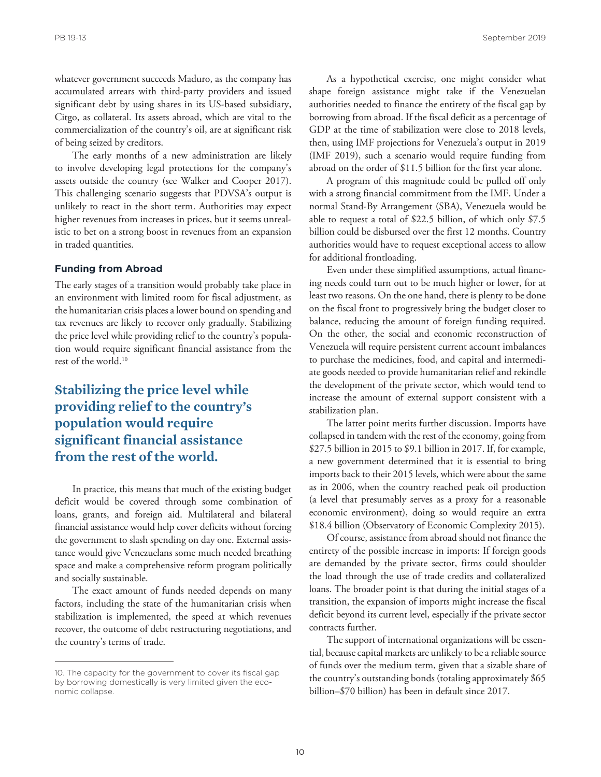whatever government succeeds Maduro, as the company has accumulated arrears with third-party providers and issued significant debt by using shares in its US-based subsidiary, Citgo, as collateral. Its assets abroad, which are vital to the commercialization of the country's oil, are at significant risk of being seized by creditors.

The early months of a new administration are likely to involve developing legal protections for the company's assets outside the country (see Walker and Cooper 2017). This challenging scenario suggests that PDVSA's output is unlikely to react in the short term. Authorities may expect higher revenues from increases in prices, but it seems unrealistic to bet on a strong boost in revenues from an expansion in traded quantities.

# **Funding from Abroad**

The early stages of a transition would probably take place in an environment with limited room for fiscal adjustment, as the humanitarian crisis places a lower bound on spending and tax revenues are likely to recover only gradually. Stabilizing the price level while providing relief to the country's population would require significant financial assistance from the rest of the world.10

# **Stabilizing the price level while providing relief to the country's population would require significant financial assistance from the rest of the world.**

In practice, this means that much of the existing budget deficit would be covered through some combination of loans, grants, and foreign aid. Multilateral and bilateral financial assistance would help cover deficits without forcing the government to slash spending on day one. External assistance would give Venezuelans some much needed breathing space and make a comprehensive reform program politically and socially sustainable.

The exact amount of funds needed depends on many factors, including the state of the humanitarian crisis when stabilization is implemented, the speed at which revenues recover, the outcome of debt restructuring negotiations, and the country's terms of trade.

As a hypothetical exercise, one might consider what shape foreign assistance might take if the Venezuelan authorities needed to finance the entirety of the fiscal gap by borrowing from abroad. If the fiscal deficit as a percentage of GDP at the time of stabilization were close to 2018 levels, then, using IMF projections for Venezuela's output in 2019 (IMF 2019), such a scenario would require funding from abroad on the order of \$11.5 billion for the first year alone.

A program of this magnitude could be pulled off only with a strong financial commitment from the IMF. Under a normal Stand-By Arrangement (SBA), Venezuela would be able to request a total of \$22.5 billion, of which only \$7.5 billion could be disbursed over the first 12 months. Country authorities would have to request exceptional access to allow for additional frontloading.

Even under these simplified assumptions, actual financing needs could turn out to be much higher or lower, for at least two reasons. On the one hand, there is plenty to be done on the fiscal front to progressively bring the budget closer to balance, reducing the amount of foreign funding required. On the other, the social and economic reconstruction of Venezuela will require persistent current account imbalances to purchase the medicines, food, and capital and intermediate goods needed to provide humanitarian relief and rekindle the development of the private sector, which would tend to increase the amount of external support consistent with a stabilization plan.

The latter point merits further discussion. Imports have collapsed in tandem with the rest of the economy, going from \$27.5 billion in 2015 to \$9.1 billion in 2017. If, for example, a new government determined that it is essential to bring imports back to their 2015 levels, which were about the same as in 2006, when the country reached peak oil production (a level that presumably serves as a proxy for a reasonable economic environment), doing so would require an extra \$18.4 billion (Observatory of Economic Complexity 2015).

Of course, assistance from abroad should not finance the entirety of the possible increase in imports: If foreign goods are demanded by the private sector, firms could shoulder the load through the use of trade credits and collateralized loans. The broader point is that during the initial stages of a transition, the expansion of imports might increase the fiscal deficit beyond its current level, especially if the private sector contracts further.

The support of international organizations will be essential, because capital markets are unlikely to be a reliable source of funds over the medium term, given that a sizable share of the country's outstanding bonds (totaling approximately \$65 billion–\$70 billion) has been in default since 2017.

<sup>10.</sup> The capacity for the government to cover its fiscal gap by borrowing domestically is very limited given the economic collapse.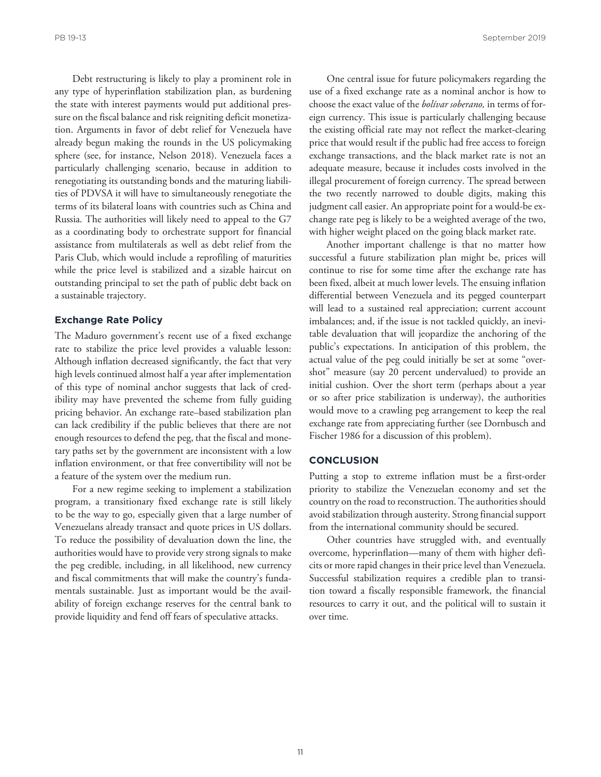Debt restructuring is likely to play a prominent role in any type of hyperinflation stabilization plan, as burdening the state with interest payments would put additional pressure on the fiscal balance and risk reigniting deficit monetization. Arguments in favor of debt relief for Venezuela have already begun making the rounds in the US policymaking sphere (see, for instance, Nelson 2018). Venezuela faces a particularly challenging scenario, because in addition to renegotiating its outstanding bonds and the maturing liabilities of PDVSA it will have to simultaneously renegotiate the terms of its bilateral loans with countries such as China and Russia. The authorities will likely need to appeal to the G7 as a coordinating body to orchestrate support for financial assistance from multilaterals as well as debt relief from the Paris Club, which would include a reprofiling of maturities while the price level is stabilized and a sizable haircut on outstanding principal to set the path of public debt back on a sustainable trajectory.

# **Exchange Rate Policy**

The Maduro government's recent use of a fixed exchange rate to stabilize the price level provides a valuable lesson: Although inflation decreased significantly, the fact that very high levels continued almost half a year after implementation of this type of nominal anchor suggests that lack of credibility may have prevented the scheme from fully guiding pricing behavior. An exchange rate–based stabilization plan can lack credibility if the public believes that there are not enough resources to defend the peg, that the fiscal and monetary paths set by the government are inconsistent with a low inflation environment, or that free convertibility will not be a feature of the system over the medium run.

For a new regime seeking to implement a stabilization program, a transitionary fixed exchange rate is still likely to be the way to go, especially given that a large number of Venezuelans already transact and quote prices in US dollars. To reduce the possibility of devaluation down the line, the authorities would have to provide very strong signals to make the peg credible, including, in all likelihood, new currency and fiscal commitments that will make the country's fundamentals sustainable. Just as important would be the availability of foreign exchange reserves for the central bank to provide liquidity and fend off fears of speculative attacks.

One central issue for future policymakers regarding the use of a fixed exchange rate as a nominal anchor is how to choose the exact value of the *bolívar soberano,* in terms of foreign currency. This issue is particularly challenging because the existing official rate may not reflect the market-clearing price that would result if the public had free access to foreign exchange transactions, and the black market rate is not an adequate measure, because it includes costs involved in the illegal procurement of foreign currency. The spread between the two recently narrowed to double digits, making this judgment call easier. An appropriate point for a would-be exchange rate peg is likely to be a weighted average of the two, with higher weight placed on the going black market rate.

Another important challenge is that no matter how successful a future stabilization plan might be, prices will continue to rise for some time after the exchange rate has been fixed, albeit at much lower levels. The ensuing inflation differential between Venezuela and its pegged counterpart will lead to a sustained real appreciation; current account imbalances; and, if the issue is not tackled quickly, an inevitable devaluation that will jeopardize the anchoring of the public's expectations. In anticipation of this problem, the actual value of the peg could initially be set at some "overshot" measure (say 20 percent undervalued) to provide an initial cushion. Over the short term (perhaps about a year or so after price stabilization is underway), the authorities would move to a crawling peg arrangement to keep the real exchange rate from appreciating further (see Dornbusch and Fischer 1986 for a discussion of this problem).

#### **CONCLUSION**

Putting a stop to extreme inflation must be a first-order priority to stabilize the Venezuelan economy and set the country on the road to reconstruction. The authorities should avoid stabilization through austerity. Strong financial support from the international community should be secured.

Other countries have struggled with, and eventually overcome, hyperinflation—many of them with higher deficits or more rapid changes in their price level than Venezuela. Successful stabilization requires a credible plan to transition toward a fiscally responsible framework, the financial resources to carry it out, and the political will to sustain it over time.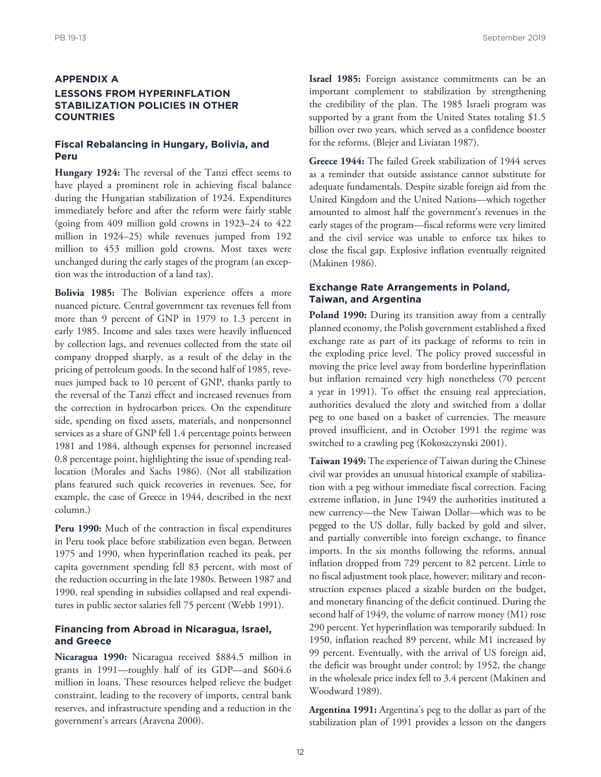# **APPENDIX A LESSONS FROM HYPERINFLATION STABILIZATION POLICIES IN OTHER COUNTRIES**

# **Fiscal Rebalancing in Hungary, Bolivia, and Peru**

**Hungary 1924:** The reversal of the Tanzi effect seems to have played a prominent role in achieving fiscal balance during the Hungarian stabilization of 1924. Expenditures immediately before and after the reform were fairly stable (going from 409 million gold crowns in 1923–24 to 422 million in 1924–25) while revenues jumped from 192 million to 453 million gold crowns. Most taxes were unchanged during the early stages of the program (an exception was the introduction of a land tax).

**Bolivia 1985:** The Bolivian experience offers a more nuanced picture. Central government tax revenues fell from more than 9 percent of GNP in 1979 to 1.3 percent in early 1985. Income and sales taxes were heavily influenced by collection lags, and revenues collected from the state oil company dropped sharply, as a result of the delay in the pricing of petroleum goods. In the second half of 1985, revenues jumped back to 10 percent of GNP, thanks partly to the reversal of the Tanzi effect and increased revenues from the correction in hydrocarbon prices. On the expenditure side, spending on fixed assets, materials, and nonpersonnel services as a share of GNP fell 1.4 percentage points between 1981 and 1984, although expenses for personnel increased 0.8 percentage point, highlighting the issue of spending reallocation (Morales and Sachs 1986). (Not all stabilization plans featured such quick recoveries in revenues. See, for example, the case of Greece in 1944, described in the next column.)

**Peru 1990:** Much of the contraction in fiscal expenditures in Peru took place before stabilization even began. Between 1975 and 1990, when hyperinflation reached its peak, per capita government spending fell 83 percent, with most of the reduction occurring in the late 1980s. Between 1987 and 1990, real spending in subsidies collapsed and real expenditures in public sector salaries fell 75 percent (Webb 1991).

# **Financing from Abroad in Nicaragua, Israel, and Greece**

**Nicaragua 1990:** Nicaragua received \$884.5 million in grants in 1991—roughly half of its GDP—and \$604.6 million in loans. These resources helped relieve the budget constraint, leading to the recovery of imports, central bank reserves, and infrastructure spending and a reduction in the government's arrears (Aravena 2000).

**Israel 1985:** Foreign assistance commitments can be an important complement to stabilization by strengthening the credibility of the plan. The 1985 Israeli program was supported by a grant from the United States totaling \$1.5 billion over two years, which served as a confidence booster for the reforms. (Blejer and Liviatan 1987).

**Greece 1944:** The failed Greek stabilization of 1944 serves as a reminder that outside assistance cannot substitute for adequate fundamentals. Despite sizable foreign aid from the United Kingdom and the United Nations—which together amounted to almost half the government's revenues in the early stages of the program—fiscal reforms were very limited and the civil service was unable to enforce tax hikes to close the fiscal gap. Explosive inflation eventually reignited (Makinen 1986).

# **Exchange Rate Arrangements in Poland, Taiwan, and Argentina**

**Poland 1990:** During its transition away from a centrally planned economy, the Polish government established a fixed exchange rate as part of its package of reforms to rein in the exploding price level. The policy proved successful in moving the price level away from borderline hyperinflation but inflation remained very high nonetheless (70 percent a year in 1991). To offset the ensuing real appreciation, authorities devalued the zloty and switched from a dollar peg to one based on a basket of currencies. The measure proved insufficient, and in October 1991 the regime was switched to a crawling peg (Kokoszczynski 2001).

**Taiwan 1949:** The experience of Taiwan during the Chinese civil war provides an unusual historical example of stabilization with a peg without immediate fiscal correction. Facing extreme inflation, in June 1949 the authorities instituted a new currency—the New Taiwan Dollar—which was to be pegged to the US dollar, fully backed by gold and silver, and partially convertible into foreign exchange, to finance imports. In the six months following the reforms, annual inflation dropped from 729 percent to 82 percent. Little to no fiscal adjustment took place, however; military and reconstruction expenses placed a sizable burden on the budget, and monetary financing of the deficit continued. During the second half of 1949, the volume of narrow money (M1) rose 290 percent. Yet hyperinflation was temporarily subdued: In 1950, inflation reached 89 percent, while M1 increased by 99 percent. Eventually, with the arrival of US foreign aid, the deficit was brought under control; by 1952, the change in the wholesale price index fell to 3.4 percent (Makinen and Woodward 1989).

**Argentina 1991:** Argentina's peg to the dollar as part of the stabilization plan of 1991 provides a lesson on the dangers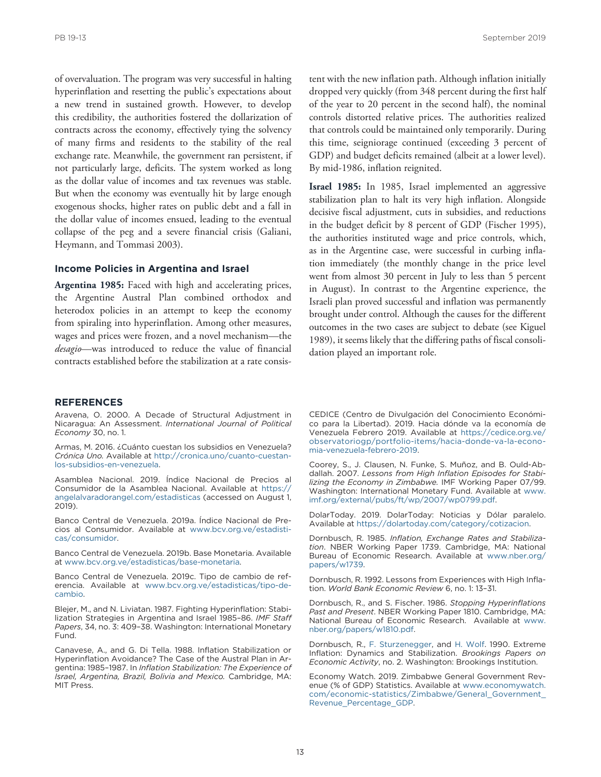of overvaluation. The program was very successful in halting hyperinflation and resetting the public's expectations about a new trend in sustained growth. However, to develop this credibility, the authorities fostered the dollarization of contracts across the economy, effectively tying the solvency of many firms and residents to the stability of the real exchange rate. Meanwhile, the government ran persistent, if not particularly large, deficits. The system worked as long as the dollar value of incomes and tax revenues was stable. But when the economy was eventually hit by large enough exogenous shocks, higher rates on public debt and a fall in the dollar value of incomes ensued, leading to the eventual collapse of the peg and a severe financial crisis (Galiani, Heymann, and Tommasi 2003).

#### **Income Policies in Argentina and Israel**

**Argentina 1985:** Faced with high and accelerating prices, the Argentine Austral Plan combined orthodox and heterodox policies in an attempt to keep the economy from spiraling into hyperinflation. Among other measures, wages and prices were frozen, and a novel mechanism—the *desagio*—was introduced to reduce the value of financial contracts established before the stabilization at a rate consis-

#### **REFERENCES**

Aravena, O. 2000. A Decade of Structural Adjustment in Nicaragua: An Assessment. *International Journal of Political Economy* 30, no. 1.

Armas, M. 2016. ¿Cuánto cuestan los subsidios en Venezuela? *Crónica Uno.* Available at [http://cronica.uno/cuanto-cuestan](http://cronica.uno/cuanto-cuestan-los-subsidios-en-venezuela)[los-subsidios-en-venezuela.](http://cronica.uno/cuanto-cuestan-los-subsidios-en-venezuela)

Asamblea Nacional. 2019. Índice Nacional de Precios al Consumidor de la Asamblea Nacional. Available at [https://](https://angelalvaradorangel.com/estadisticas) [angelalvaradorangel.com/estadisticas](https://angelalvaradorangel.com/estadisticas) (accessed on August 1, 2019).

Banco Central de Venezuela. 2019a. Índice Nacional de Precios al Consumidor. Available at [www.bcv.org.ve/estadisti](http://www.bcv.org.ve/estadisticas/consumidor)[cas/consumidor](http://www.bcv.org.ve/estadisticas/consumidor).

Banco Central de Venezuela. 2019b. Base Monetaria. Available at [www.bcv.org.ve/estadisticas/base-monetaria](http://www.bcv.org.ve/estadisticas/base-monetaria).

Banco Central de Venezuela. 2019c. Tipo de cambio de referencia. Available at [www.bcv.org.ve/estadisticas/tipo-de](http://www.bcv.org.ve/estadisticas/tipo-de-cambio)[cambio.](http://www.bcv.org.ve/estadisticas/tipo-de-cambio)

Blejer, M., and N. Liviatan. 1987. Fighting Hyperinflation: Stabilization Strategies in Argentina and Israel 1985–86. *IMF Staff Papers*, 34, no. 3: 409–38. Washington: International Monetary Fund.

Canavese, A., and G. Di Tella. 1988. Inflation Stabilization or Hyperinflation Avoidance? The Case of the Austral Plan in Argentina: 1985–1987. In *Inflation Stabilization: The Experience of Israel, Argentina, Brazil, Bolivia and Mexico.* Cambridge, MA: MIT Press.

tent with the new inflation path. Although inflation initially dropped very quickly (from 348 percent during the first half of the year to 20 percent in the second half), the nominal controls distorted relative prices. The authorities realized that controls could be maintained only temporarily. During this time, seigniorage continued (exceeding 3 percent of GDP) and budget deficits remained (albeit at a lower level). By mid-1986, inflation reignited.

**Israel 1985:** In 1985, Israel implemented an aggressive stabilization plan to halt its very high inflation. Alongside decisive fiscal adjustment, cuts in subsidies, and reductions in the budget deficit by 8 percent of GDP (Fischer 1995), the authorities instituted wage and price controls, which, as in the Argentine case, were successful in curbing inflation immediately (the monthly change in the price level went from almost 30 percent in July to less than 5 percent in August). In contrast to the Argentine experience, the Israeli plan proved successful and inflation was permanently brought under control. Although the causes for the different outcomes in the two cases are subject to debate (see Kiguel 1989), it seems likely that the differing paths of fiscal consolidation played an important role.

CEDICE (Centro de Divulgación del Conocimiento Económico para la Libertad). 2019. Hacia dónde va la economía de Venezuela Febrero 2019. Available at [https://cedice.org.ve/](https://cedice.org.ve/observatoriogp/portfolio-items/hacia-donde-va-la-economia-venezuela-febrero-20) [observatoriogp/portfolio-items/hacia-donde-va-la-econo](https://cedice.org.ve/observatoriogp/portfolio-items/hacia-donde-va-la-economia-venezuela-febrero-20)[mia-venezuela-febrero-2019](https://cedice.org.ve/observatoriogp/portfolio-items/hacia-donde-va-la-economia-venezuela-febrero-20).

Coorey, S., J. Clausen, N. Funke, S. Muñoz, and B. Ould-Abdallah. 2007. *Lessons from High Inflation Episodes for Stabilizing the Economy in Zimbabwe.* IMF Working Paper 07/99. Washington: International Monetary Fund. Available at [www.](http://www.imf.org/external/pubs/ft/wp/2007/wp0799.pdf) [imf.org/external/pubs/ft/wp/2007/wp0799.pdf.](http://www.imf.org/external/pubs/ft/wp/2007/wp0799.pdf)

DolarToday. 2019. DolarToday: Noticias y Dólar paralelo. Available at<https://dolartoday.com/category/cotizacion>.

Dornbusch, R. 1985. *Inflation, Exchange Rates and Stabilization*. NBER Working Paper 1739. Cambridge, MA: National Bureau of Economic Research. Available at [www.nber.org/](http://www.nber.org/papers/w1739) [papers/w1739](http://www.nber.org/papers/w1739).

Dornbusch, R. 1992. Lessons from Experiences with High Inflation. *World Bank Economic Review* 6, no. 1: 13–31.

Dornbusch, R., and S. Fischer. 1986. *Stopping Hyperinflations Past and Present*. NBER Working Paper 1810. Cambridge, MA: National Bureau of Economic Research. Available at [www.](http://www.nber.org/papers/w1810.pdf) [nber.org/papers/w1810.pdf.](http://www.nber.org/papers/w1810.pdf)

Dornbusch, R., [F. Sturzenegger,](https://www.brookings.edu/author/federico-sturzenegger/) and [H. Wolf.](https://www.brookings.edu/author/holger-wolf/) 1990. Extreme Inflation: Dynamics and Stabilization. *Brookings Papers on Economic Activity*, no. 2. Washington: Brookings Institution.

Economy Watch. 2019. Zimbabwe General Government Revenue (% of GDP) Statistics. Available at [www.economywatch.](http://www.economywatch.com/economic-statistics/Zimbabwe/General_Government_Revenue_Percentage_GDP) [com/economic-statistics/Zimbabwe/General\\_Government\\_](http://www.economywatch.com/economic-statistics/Zimbabwe/General_Government_Revenue_Percentage_GDP) [Revenue\\_Percentage\\_GDP](http://www.economywatch.com/economic-statistics/Zimbabwe/General_Government_Revenue_Percentage_GDP).